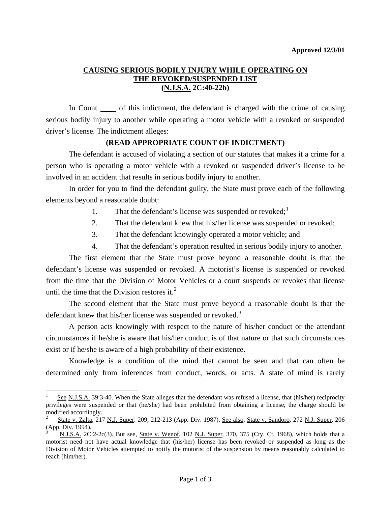## **CAUSING SERIOUS BODILY INJURY WHILE OPERATING ON THE REVOKED/SUSPENDED LIST (N.J.S.A. 2C:40-22b)**

In Count of this indictment, the defendant is charged with the crime of causing serious bodily injury to another while operating a motor vehicle with a revoked or suspended driver's license. The indictment alleges:

## **(READ APPROPRIATE COUNT OF INDICTMENT)**

 The defendant is accused of violating a section of our statutes that makes it a crime for a person who is operating a motor vehicle with a revoked or suspended driver's license to be involved in an accident that results in serious bodily injury to another.

 In order for you to find the defendant guilty, the State must prove each of the following elements beyond a reasonable doubt:

- [1](#page-0-0). That the defendant's license was suspended or revoked; $<sup>1</sup>$ </sup>
- 2. That the defendant knew that his/her license was suspended or revoked;
- 3. That the defendant knowingly operated a motor vehicle; and
- 4. That the defendant's operation resulted in serious bodily injury to another.

 The first element that the State must prove beyond a reasonable doubt is that the defendant's license was suspended or revoked. A motorist's license is suspended or revoked from the time that the Division of Motor Vehicles or a court suspends or revokes that license until the time that the Division restores it. $<sup>2</sup>$  $<sup>2</sup>$  $<sup>2</sup>$ </sup>

 The second element that the State must prove beyond a reasonable doubt is that the defendant knew that his/her license was suspended or revoked.<sup>[3](#page-0-2)</sup>

 A person acts knowingly with respect to the nature of his/her conduct or the attendant circumstances if he/she is aware that his/her conduct is of that nature or that such circumstances exist or if he/she is aware of a high probability of their existence.

 Knowledge is a condition of the mind that cannot be seen and that can often be determined only from inferences from conduct, words, or acts. A state of mind is rarely

l

<span id="page-0-0"></span><sup>1</sup> See N.J.S.A. 39:3-40. When the State alleges that the defendant was refused a license, that (his/her) reciprocity privileges were suspended or that (he/she) had been prohibited from obtaining a license, the charge should be modified accordingly.

<span id="page-0-1"></span><sup>2</sup> State v. Zalta, 217 N.J. Super. 209, 212-213 (App. Div. 1987). See also, State v. Sandoro, 272 N.J. Super. 206 (App. Div. 1994).

<span id="page-0-3"></span><span id="page-0-2"></span><sup>3</sup> N.J.S.A. 2C:2-2c(3). But see, State v. Wenof, 102 N.J. Super. 370, 375 (Cty. Ct. 1968), which holds that a motorist need not have actual knowledge that (his/her) license has been revoked or suspended as long as the Division of Motor Vehicles attempted to notify the motorist of the suspension by means reasonably calculated to reach (him/her).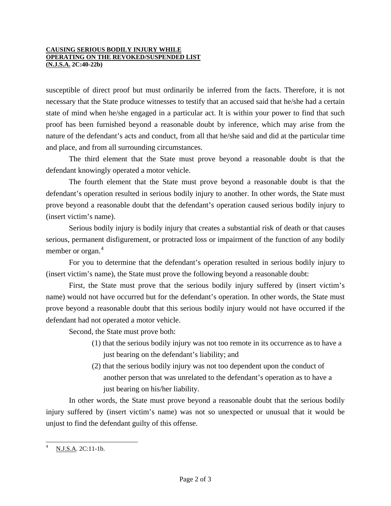## **CAUSING SERIOUS BODILY INJURY WHILE OPERATING ON THE REVOKED/SUSPENDED LIST (N.J.S.A. 2C:40-22b)**

susceptible of direct proof but must ordinarily be inferred from the facts. Therefore, it is not necessary that the State produce witnesses to testify that an accused said that he/she had a certain state of mind when he/she engaged in a particular act. It is within your power to find that such proof has been furnished beyond a reasonable doubt by inference, which may arise from the nature of the defendant's acts and conduct, from all that he/she said and did at the particular time and place, and from all surrounding circumstances.

 The third element that the State must prove beyond a reasonable doubt is that the defendant knowingly operated a motor vehicle.

 The fourth element that the State must prove beyond a reasonable doubt is that the defendant's operation resulted in serious bodily injury to another. In other words, the State must prove beyond a reasonable doubt that the defendant's operation caused serious bodily injury to (insert victim's name).

 Serious bodily injury is bodily injury that creates a substantial risk of death or that causes serious, permanent disfigurement, or protracted loss or impairment of the function of any bodily member or organ.<sup>[4](#page-0-3)</sup>

 For you to determine that the defendant's operation resulted in serious bodily injury to (insert victim's name), the State must prove the following beyond a reasonable doubt:

 First, the State must prove that the serious bodily injury suffered by (insert victim's name) would not have occurred but for the defendant's operation. In other words, the State must prove beyond a reasonable doubt that this serious bodily injury would not have occurred if the defendant had not operated a motor vehicle.

Second, the State must prove both:

- (1) that the serious bodily injury was not too remote in its occurrence as to have a just bearing on the defendant's liability; and
- (2) that the serious bodily injury was not too dependent upon the conduct of another person that was unrelated to the defendant's operation as to have a just bearing on his/her liability.

 In other words, the State must prove beyond a reasonable doubt that the serious bodily injury suffered by (insert victim's name) was not so unexpected or unusual that it would be unjust to find the defendant guilty of this offense.

<span id="page-1-0"></span> $\overline{\phantom{a}}$ 4 N.J.S.A. 2C:11-1b.